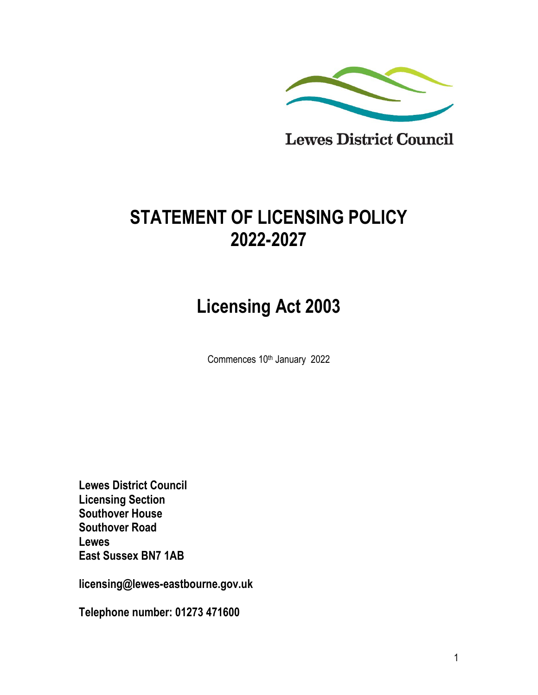

# **STATEMENT OF LICENSING POLICY 2022-2027**

# **Licensing Act 2003**

Commences 10<sup>th</sup> January 2022

**Lewes District Council Licensing Section Southover House Southover Road Lewes East Sussex BN7 1AB**

**licensing@lewes-eastbourne.gov.uk** 

**Telephone number: 01273 471600**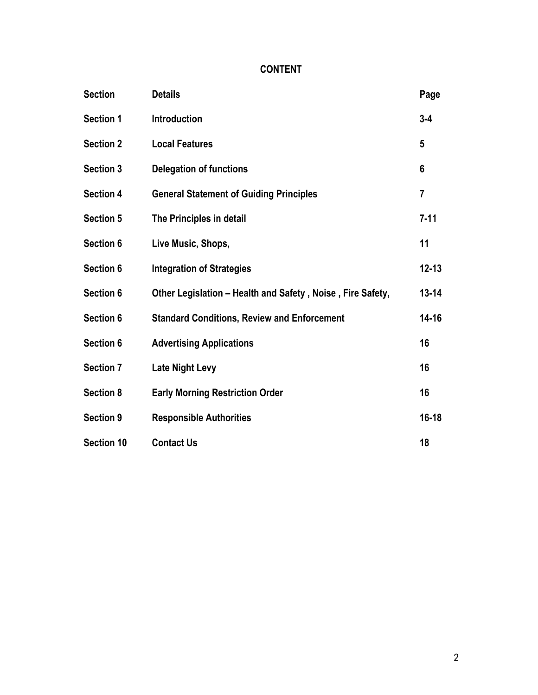# **CONTENT**

| <b>Section</b>    | <b>Details</b>                                             | Page            |
|-------------------|------------------------------------------------------------|-----------------|
| <b>Section 1</b>  | <b>Introduction</b>                                        | $3 - 4$         |
| <b>Section 2</b>  | <b>Local Features</b>                                      | $5\phantom{.0}$ |
| <b>Section 3</b>  | <b>Delegation of functions</b>                             | 6               |
| <b>Section 4</b>  | <b>General Statement of Guiding Principles</b>             | $\overline{7}$  |
| <b>Section 5</b>  | The Principles in detail                                   | $7 - 11$        |
| Section 6         | Live Music, Shops,                                         | 11              |
| Section 6         | <b>Integration of Strategies</b>                           | $12 - 13$       |
| Section 6         | Other Legislation – Health and Safety, Noise, Fire Safety, | $13 - 14$       |
| Section 6         | <b>Standard Conditions, Review and Enforcement</b>         | $14 - 16$       |
| Section 6         | <b>Advertising Applications</b>                            | 16              |
| <b>Section 7</b>  | <b>Late Night Levy</b>                                     | 16              |
| <b>Section 8</b>  | <b>Early Morning Restriction Order</b>                     | 16              |
| <b>Section 9</b>  | <b>Responsible Authorities</b>                             | $16 - 18$       |
| <b>Section 10</b> | <b>Contact Us</b>                                          | 18              |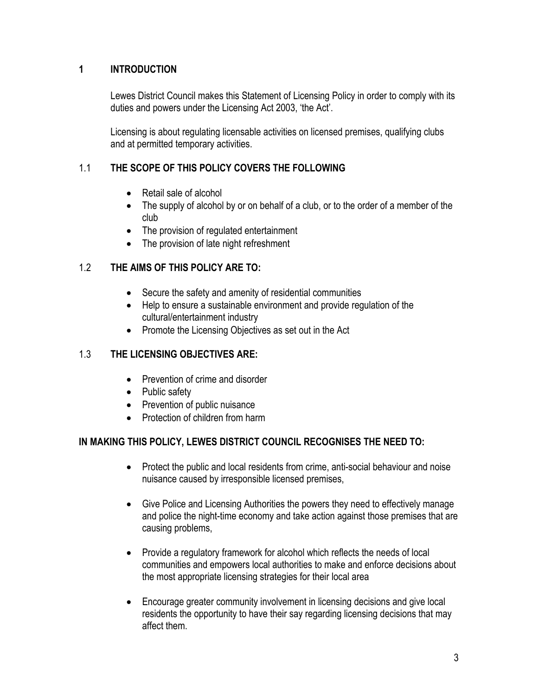# **1 INTRODUCTION**

Lewes District Council makes this Statement of Licensing Policy in order to comply with its duties and powers under the Licensing Act 2003, 'the Act'.

Licensing is about regulating licensable activities on licensed premises, qualifying clubs and at permitted temporary activities.

# 1.1 **THE SCOPE OF THIS POLICY COVERS THE FOLLOWING**

- Retail sale of alcohol
- The supply of alcohol by or on behalf of a club, or to the order of a member of the club
- The provision of regulated entertainment
- The provision of late night refreshment

# 1.2 **THE AIMS OF THIS POLICY ARE TO:**

- Secure the safety and amenity of residential communities
- Help to ensure a sustainable environment and provide regulation of the cultural/entertainment industry
- Promote the Licensing Objectives as set out in the Act

# 1.3 **THE LICENSING OBJECTIVES ARE:**

- Prevention of crime and disorder
- Public safety
- Prevention of public nuisance
- Protection of children from harm

# **IN MAKING THIS POLICY, LEWES DISTRICT COUNCIL RECOGNISES THE NEED TO:**

- Protect the public and local residents from crime, anti-social behaviour and noise nuisance caused by irresponsible licensed premises,
- Give Police and Licensing Authorities the powers they need to effectively manage and police the night-time economy and take action against those premises that are causing problems,
- Provide a regulatory framework for alcohol which reflects the needs of local communities and empowers local authorities to make and enforce decisions about the most appropriate licensing strategies for their local area
- Encourage greater community involvement in licensing decisions and give local residents the opportunity to have their say regarding licensing decisions that may affect them.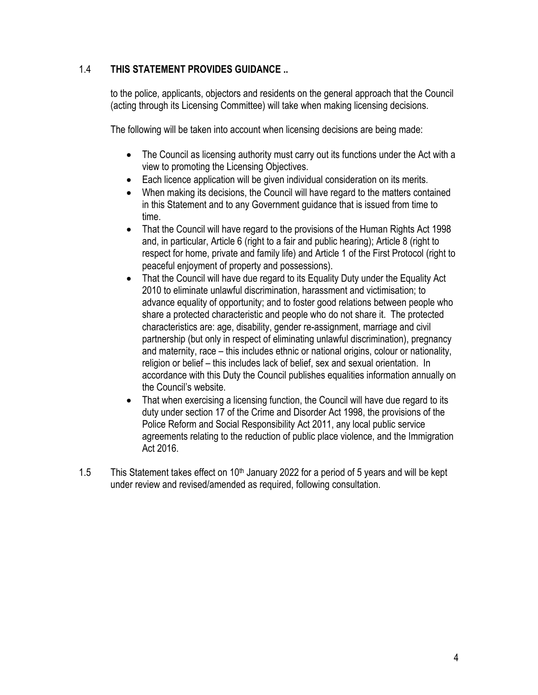# 1.4 **THIS STATEMENT PROVIDES GUIDANCE ..**

to the police, applicants, objectors and residents on the general approach that the Council (acting through its Licensing Committee) will take when making licensing decisions.

The following will be taken into account when licensing decisions are being made:

- The Council as licensing authority must carry out its functions under the Act with a view to promoting the Licensing Objectives.
- Each licence application will be given individual consideration on its merits.
- When making its decisions, the Council will have regard to the matters contained in this Statement and to any Government guidance that is issued from time to time.
- That the Council will have regard to the provisions of the Human Rights Act 1998 and, in particular, Article 6 (right to a fair and public hearing); Article 8 (right to respect for home, private and family life) and Article 1 of the First Protocol (right to peaceful enjoyment of property and possessions).
- That the Council will have due regard to its Equality Duty under the Equality Act 2010 to eliminate unlawful discrimination, harassment and victimisation; to advance equality of opportunity; and to foster good relations between people who share a protected characteristic and people who do not share it. The protected characteristics are: age, disability, gender re-assignment, marriage and civil partnership (but only in respect of eliminating unlawful discrimination), pregnancy and maternity, race – this includes ethnic or national origins, colour or nationality, religion or belief – this includes lack of belief, sex and sexual orientation. In accordance with this Duty the Council publishes equalities information annually on the Council's website.
- That when exercising a licensing function, the Council will have due regard to its duty under section 17 of the Crime and Disorder Act 1998, the provisions of the Police Reform and Social Responsibility Act 2011, any local public service agreements relating to the reduction of public place violence, and the Immigration Act 2016.
- 1.5 This Statement takes effect on  $10<sup>th</sup>$  January 2022 for a period of 5 years and will be kept under review and revised/amended as required, following consultation.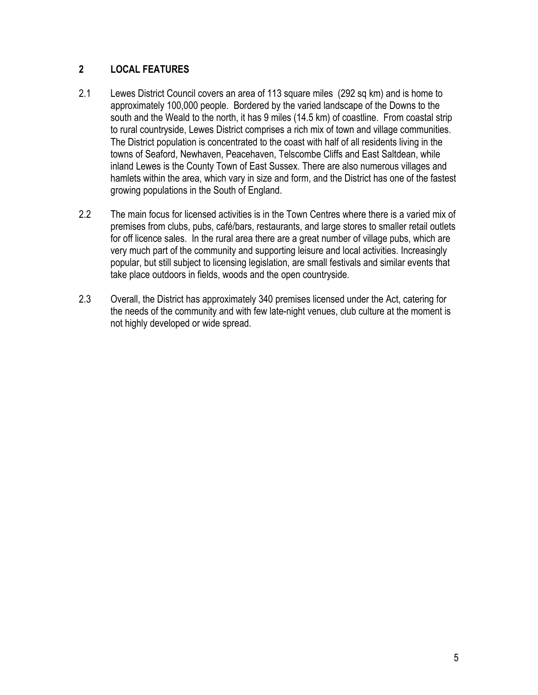#### **2 LOCAL FEATURES**

- 2.1 Lewes District Council covers an area of 113 square miles (292 sq km) and is home to approximately 100,000 people. Bordered by the varied landscape of the Downs to the south and the Weald to the north, it has 9 miles (14.5 km) of coastline. From coastal strip to rural countryside, Lewes District comprises a rich mix of town and village communities. The District population is concentrated to the coast with half of all residents living in the towns of Seaford, Newhaven, Peacehaven, Telscombe Cliffs and East Saltdean, while inland Lewes is the County Town of East Sussex. There are also numerous villages and hamlets within the area, which vary in size and form, and the District has one of the fastest growing populations in the South of England.
- 2.2 The main focus for licensed activities is in the Town Centres where there is a varied mix of premises from clubs, pubs, café/bars, restaurants, and large stores to smaller retail outlets for off licence sales. In the rural area there are a great number of village pubs, which are very much part of the community and supporting leisure and local activities. Increasingly popular, but still subject to licensing legislation, are small festivals and similar events that take place outdoors in fields, woods and the open countryside.
- 2.3 Overall, the District has approximately 340 premises licensed under the Act, catering for the needs of the community and with few late-night venues, club culture at the moment is not highly developed or wide spread.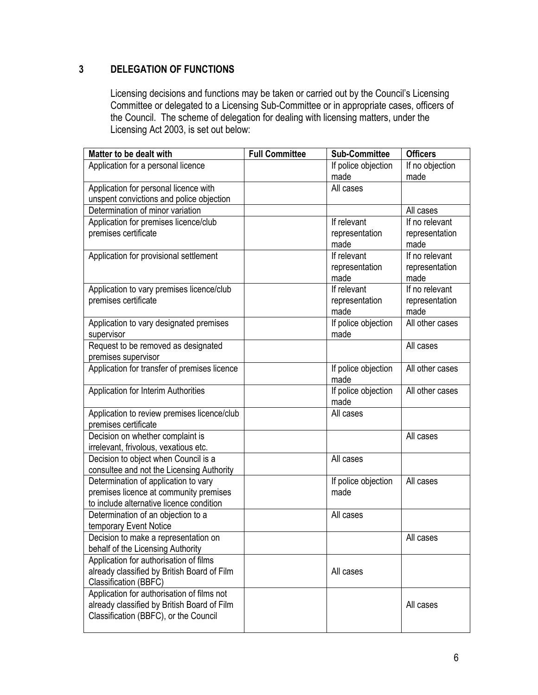# **3 DELEGATION OF FUNCTIONS**

Licensing decisions and functions may be taken or carried out by the Council's Licensing Committee or delegated to a Licensing Sub-Committee or in appropriate cases, officers of the Council. The scheme of delegation for dealing with licensing matters, under the Licensing Act 2003, is set out below:

| <b>Full Committee</b> | <b>Sub-Committee</b> | <b>Officers</b>                                                                                                                                                                                                                                                                                    |
|-----------------------|----------------------|----------------------------------------------------------------------------------------------------------------------------------------------------------------------------------------------------------------------------------------------------------------------------------------------------|
|                       | If police objection  | If no objection                                                                                                                                                                                                                                                                                    |
|                       | made                 | made                                                                                                                                                                                                                                                                                               |
|                       |                      |                                                                                                                                                                                                                                                                                                    |
|                       |                      |                                                                                                                                                                                                                                                                                                    |
|                       |                      | All cases                                                                                                                                                                                                                                                                                          |
|                       |                      | If no relevant                                                                                                                                                                                                                                                                                     |
|                       | representation       | representation                                                                                                                                                                                                                                                                                     |
|                       |                      | made                                                                                                                                                                                                                                                                                               |
|                       |                      | If no relevant                                                                                                                                                                                                                                                                                     |
|                       |                      | representation                                                                                                                                                                                                                                                                                     |
|                       |                      | made                                                                                                                                                                                                                                                                                               |
|                       |                      | If no relevant                                                                                                                                                                                                                                                                                     |
|                       |                      | representation                                                                                                                                                                                                                                                                                     |
|                       |                      | made                                                                                                                                                                                                                                                                                               |
|                       |                      | All other cases                                                                                                                                                                                                                                                                                    |
|                       |                      |                                                                                                                                                                                                                                                                                                    |
|                       |                      | All cases                                                                                                                                                                                                                                                                                          |
|                       |                      |                                                                                                                                                                                                                                                                                                    |
|                       |                      | All other cases                                                                                                                                                                                                                                                                                    |
|                       |                      |                                                                                                                                                                                                                                                                                                    |
|                       |                      | All other cases                                                                                                                                                                                                                                                                                    |
|                       |                      |                                                                                                                                                                                                                                                                                                    |
|                       |                      |                                                                                                                                                                                                                                                                                                    |
|                       |                      |                                                                                                                                                                                                                                                                                                    |
|                       |                      | All cases                                                                                                                                                                                                                                                                                          |
|                       |                      |                                                                                                                                                                                                                                                                                                    |
|                       |                      |                                                                                                                                                                                                                                                                                                    |
|                       |                      |                                                                                                                                                                                                                                                                                                    |
|                       |                      | All cases                                                                                                                                                                                                                                                                                          |
|                       |                      |                                                                                                                                                                                                                                                                                                    |
|                       |                      |                                                                                                                                                                                                                                                                                                    |
|                       |                      |                                                                                                                                                                                                                                                                                                    |
|                       |                      | All cases                                                                                                                                                                                                                                                                                          |
|                       |                      |                                                                                                                                                                                                                                                                                                    |
|                       |                      |                                                                                                                                                                                                                                                                                                    |
|                       |                      |                                                                                                                                                                                                                                                                                                    |
|                       |                      |                                                                                                                                                                                                                                                                                                    |
|                       |                      |                                                                                                                                                                                                                                                                                                    |
|                       |                      | All cases                                                                                                                                                                                                                                                                                          |
|                       |                      |                                                                                                                                                                                                                                                                                                    |
|                       |                      |                                                                                                                                                                                                                                                                                                    |
|                       |                      | All cases<br>If relevant<br>made<br>If relevant<br>representation<br>made<br>If relevant<br>representation<br>made<br>If police objection<br>made<br>If police objection<br>made<br>If police objection<br>made<br>All cases<br>All cases<br>If police objection<br>made<br>All cases<br>All cases |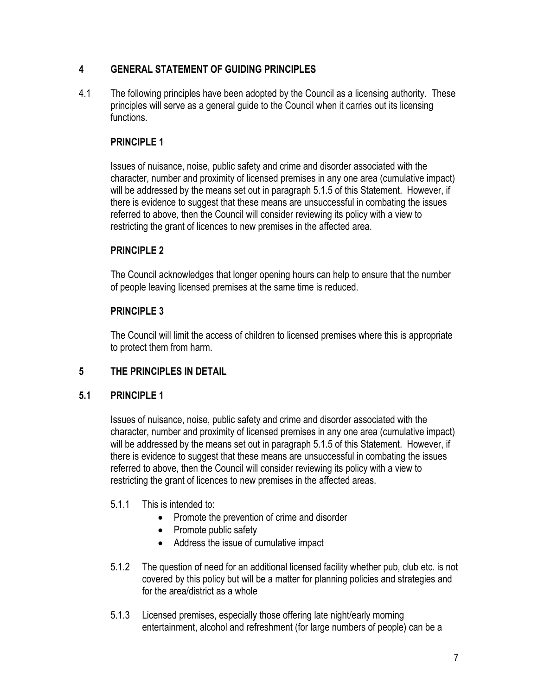# **4 GENERAL STATEMENT OF GUIDING PRINCIPLES**

4.1 The following principles have been adopted by the Council as a licensing authority. These principles will serve as a general guide to the Council when it carries out its licensing functions.

#### **PRINCIPLE 1**

Issues of nuisance, noise, public safety and crime and disorder associated with the character, number and proximity of licensed premises in any one area (cumulative impact) will be addressed by the means set out in paragraph 5.1.5 of this Statement. However, if there is evidence to suggest that these means are unsuccessful in combating the issues referred to above, then the Council will consider reviewing its policy with a view to restricting the grant of licences to new premises in the affected area.

#### **PRINCIPLE 2**

The Council acknowledges that longer opening hours can help to ensure that the number of people leaving licensed premises at the same time is reduced.

#### **PRINCIPLE 3**

The Council will limit the access of children to licensed premises where this is appropriate to protect them from harm.

# **5 THE PRINCIPLES IN DETAIL**

#### **5.1 PRINCIPLE 1**

Issues of nuisance, noise, public safety and crime and disorder associated with the character, number and proximity of licensed premises in any one area (cumulative impact) will be addressed by the means set out in paragraph 5.1.5 of this Statement. However, if there is evidence to suggest that these means are unsuccessful in combating the issues referred to above, then the Council will consider reviewing its policy with a view to restricting the grant of licences to new premises in the affected areas.

#### 5.1.1 This is intended to:

- Promote the prevention of crime and disorder
- Promote public safety
- Address the issue of cumulative impact
- 5.1.2 The question of need for an additional licensed facility whether pub, club etc. is not covered by this policy but will be a matter for planning policies and strategies and for the area/district as a whole
- 5.1.3 Licensed premises, especially those offering late night/early morning entertainment, alcohol and refreshment (for large numbers of people) can be a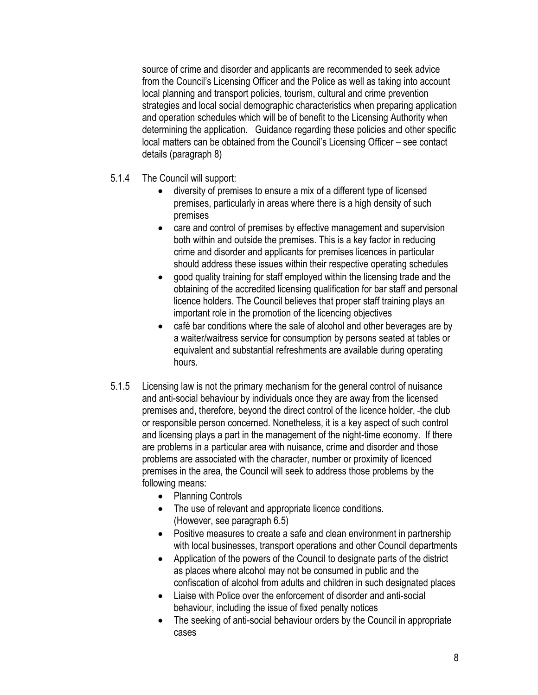source of crime and disorder and applicants are recommended to seek advice from the Council's Licensing Officer and the Police as well as taking into account local planning and transport policies, tourism, cultural and crime prevention strategies and local social demographic characteristics when preparing application and operation schedules which will be of benefit to the Licensing Authority when determining the application. Guidance regarding these policies and other specific local matters can be obtained from the Council's Licensing Officer – see contact details (paragraph 8)

- 5.1.4 The Council will support:
	- diversity of premises to ensure a mix of a different type of licensed premises, particularly in areas where there is a high density of such premises
	- care and control of premises by effective management and supervision both within and outside the premises. This is a key factor in reducing crime and disorder and applicants for premises licences in particular should address these issues within their respective operating schedules
	- good quality training for staff employed within the licensing trade and the obtaining of the accredited licensing qualification for bar staff and personal licence holders. The Council believes that proper staff training plays an important role in the promotion of the licencing objectives
	- café bar conditions where the sale of alcohol and other beverages are by a waiter/waitress service for consumption by persons seated at tables or equivalent and substantial refreshments are available during operating hours.
- 5.1.5 Licensing law is not the primary mechanism for the general control of nuisance and anti-social behaviour by individuals once they are away from the licensed premises and, therefore, beyond the direct control of the licence holder, the club or responsible person concerned. Nonetheless, it is a key aspect of such control and licensing plays a part in the management of the night-time economy. If there are problems in a particular area with nuisance, crime and disorder and those problems are associated with the character, number or proximity of licenced premises in the area, the Council will seek to address those problems by the following means:
	- Planning Controls
	- The use of relevant and appropriate licence conditions. (However, see paragraph 6.5)
	- Positive measures to create a safe and clean environment in partnership with local businesses, transport operations and other Council departments
	- Application of the powers of the Council to designate parts of the district as places where alcohol may not be consumed in public and the confiscation of alcohol from adults and children in such designated places
	- Liaise with Police over the enforcement of disorder and anti-social behaviour, including the issue of fixed penalty notices
	- The seeking of anti-social behaviour orders by the Council in appropriate cases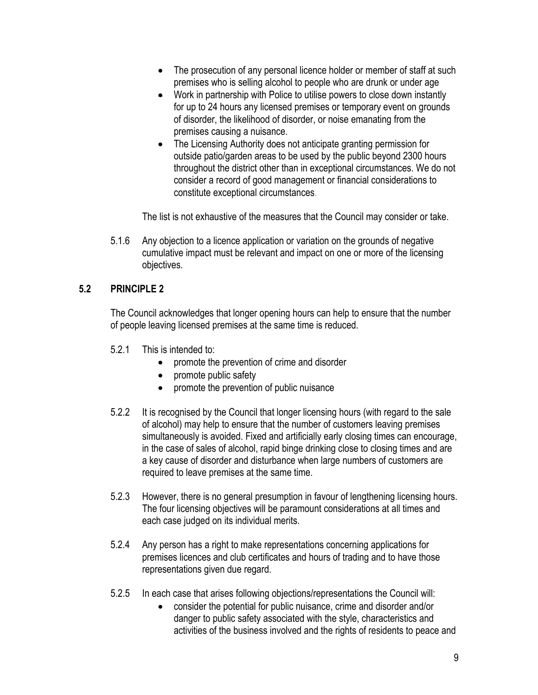- The prosecution of any personal licence holder or member of staff at such premises who is selling alcohol to people who are drunk or under age
- Work in partnership with Police to utilise powers to close down instantly for up to 24 hours any licensed premises or temporary event on grounds of disorder, the likelihood of disorder, or noise emanating from the premises causing a nuisance.
- The Licensing Authority does not anticipate granting permission for outside patio/garden areas to be used by the public beyond 2300 hours throughout the district other than in exceptional circumstances. We do not consider a record of good management or financial considerations to constitute exceptional circumstances.

The list is not exhaustive of the measures that the Council may consider or take.

5.1.6 Any objection to a licence application or variation on the grounds of negative cumulative impact must be relevant and impact on one or more of the licensing objectives.

# **5.2 PRINCIPLE 2**

The Council acknowledges that longer opening hours can help to ensure that the number of people leaving licensed premises at the same time is reduced.

- 5.2.1 This is intended to:
	- promote the prevention of crime and disorder
	- promote public safety
	- promote the prevention of public nuisance
- 5.2.2 It is recognised by the Council that longer licensing hours (with regard to the sale of alcohol) may help to ensure that the number of customers leaving premises simultaneously is avoided. Fixed and artificially early closing times can encourage, in the case of sales of alcohol, rapid binge drinking close to closing times and are a key cause of disorder and disturbance when large numbers of customers are required to leave premises at the same time.
- 5.2.3 However, there is no general presumption in favour of lengthening licensing hours. The four licensing objectives will be paramount considerations at all times and each case judged on its individual merits.
- 5.2.4 Any person has a right to make representations concerning applications for premises licences and club certificates and hours of trading and to have those representations given due regard.
- 5.2.5 In each case that arises following objections/representations the Council will:
	- consider the potential for public nuisance, crime and disorder and/or danger to public safety associated with the style, characteristics and activities of the business involved and the rights of residents to peace and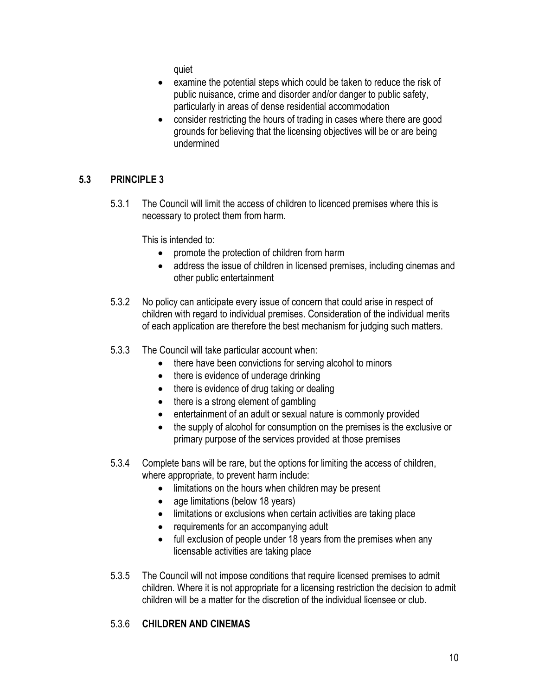quiet

- examine the potential steps which could be taken to reduce the risk of public nuisance, crime and disorder and/or danger to public safety, particularly in areas of dense residential accommodation
- consider restricting the hours of trading in cases where there are good grounds for believing that the licensing objectives will be or are being undermined

# **5.3 PRINCIPLE 3**

5.3.1 The Council will limit the access of children to licenced premises where this is necessary to protect them from harm.

This is intended to:

- promote the protection of children from harm
- address the issue of children in licensed premises, including cinemas and other public entertainment
- 5.3.2 No policy can anticipate every issue of concern that could arise in respect of children with regard to individual premises. Consideration of the individual merits of each application are therefore the best mechanism for judging such matters.
- 5.3.3 The Council will take particular account when:
	- there have been convictions for serving alcohol to minors
	- there is evidence of underage drinking
	- there is evidence of drug taking or dealing
	- there is a strong element of gambling
	- entertainment of an adult or sexual nature is commonly provided
	- the supply of alcohol for consumption on the premises is the exclusive or primary purpose of the services provided at those premises
- 5.3.4 Complete bans will be rare, but the options for limiting the access of children, where appropriate, to prevent harm include:
	- limitations on the hours when children may be present
	- age limitations (below 18 years)
	- limitations or exclusions when certain activities are taking place
	- requirements for an accompanying adult
	- full exclusion of people under 18 years from the premises when any licensable activities are taking place
- 5.3.5 The Council will not impose conditions that require licensed premises to admit children. Where it is not appropriate for a licensing restriction the decision to admit children will be a matter for the discretion of the individual licensee or club.

# 5.3.6 **CHILDREN AND CINEMAS**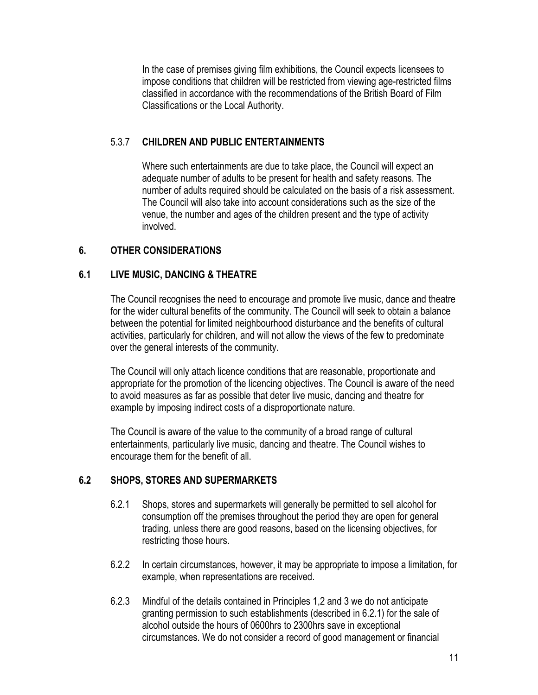In the case of premises giving film exhibitions, the Council expects licensees to impose conditions that children will be restricted from viewing age-restricted films classified in accordance with the recommendations of the British Board of Film Classifications or the Local Authority.

#### 5.3.7 **CHILDREN AND PUBLIC ENTERTAINMENTS**

Where such entertainments are due to take place, the Council will expect an adequate number of adults to be present for health and safety reasons. The number of adults required should be calculated on the basis of a risk assessment. The Council will also take into account considerations such as the size of the venue, the number and ages of the children present and the type of activity involved.

#### **6. OTHER CONSIDERATIONS**

#### **6.1 LIVE MUSIC, DANCING & THEATRE**

The Council recognises the need to encourage and promote live music, dance and theatre for the wider cultural benefits of the community. The Council will seek to obtain a balance between the potential for limited neighbourhood disturbance and the benefits of cultural activities, particularly for children, and will not allow the views of the few to predominate over the general interests of the community.

The Council will only attach licence conditions that are reasonable, proportionate and appropriate for the promotion of the licencing objectives. The Council is aware of the need to avoid measures as far as possible that deter live music, dancing and theatre for example by imposing indirect costs of a disproportionate nature.

The Council is aware of the value to the community of a broad range of cultural entertainments, particularly live music, dancing and theatre. The Council wishes to encourage them for the benefit of all.

#### **6.2 SHOPS, STORES AND SUPERMARKETS**

- 6.2.1 Shops, stores and supermarkets will generally be permitted to sell alcohol for consumption off the premises throughout the period they are open for general trading, unless there are good reasons, based on the licensing objectives, for restricting those hours.
- 6.2.2 In certain circumstances, however, it may be appropriate to impose a limitation, for example, when representations are received.
- 6.2.3 Mindful of the details contained in Principles 1,2 and 3 we do not anticipate granting permission to such establishments (described in 6.2.1) for the sale of alcohol outside the hours of 0600hrs to 2300hrs save in exceptional circumstances. We do not consider a record of good management or financial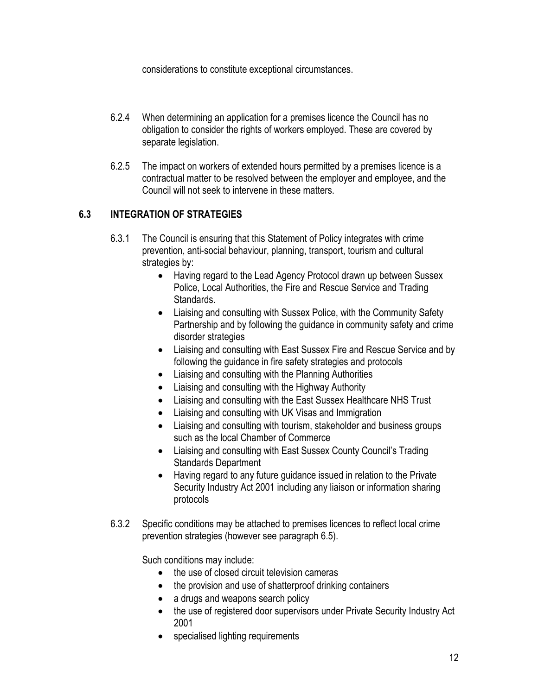considerations to constitute exceptional circumstances.

- 6.2.4 When determining an application for a premises licence the Council has no obligation to consider the rights of workers employed. These are covered by separate legislation.
- 6.2.5 The impact on workers of extended hours permitted by a premises licence is a contractual matter to be resolved between the employer and employee, and the Council will not seek to intervene in these matters.

# **6.3 INTEGRATION OF STRATEGIES**

- 6.3.1 The Council is ensuring that this Statement of Policy integrates with crime prevention, anti-social behaviour, planning, transport, tourism and cultural strategies by:
	- Having regard to the Lead Agency Protocol drawn up between Sussex Police, Local Authorities, the Fire and Rescue Service and Trading Standards.
	- Liaising and consulting with Sussex Police, with the Community Safety Partnership and by following the guidance in community safety and crime disorder strategies
	- Liaising and consulting with East Sussex Fire and Rescue Service and by following the guidance in fire safety strategies and protocols
	- Liaising and consulting with the Planning Authorities
	- Liaising and consulting with the Highway Authority
	- Liaising and consulting with the East Sussex Healthcare NHS Trust
	- Liaising and consulting with UK Visas and Immigration
	- Liaising and consulting with tourism, stakeholder and business groups such as the local Chamber of Commerce
	- Liaising and consulting with East Sussex County Council's Trading Standards Department
	- Having regard to any future guidance issued in relation to the Private Security Industry Act 2001 including any liaison or information sharing protocols
- 6.3.2 Specific conditions may be attached to premises licences to reflect local crime prevention strategies (however see paragraph 6.5).

Such conditions may include:

- the use of closed circuit television cameras
- the provision and use of shatterproof drinking containers
- a drugs and weapons search policy
- the use of registered door supervisors under Private Security Industry Act 2001
- specialised lighting requirements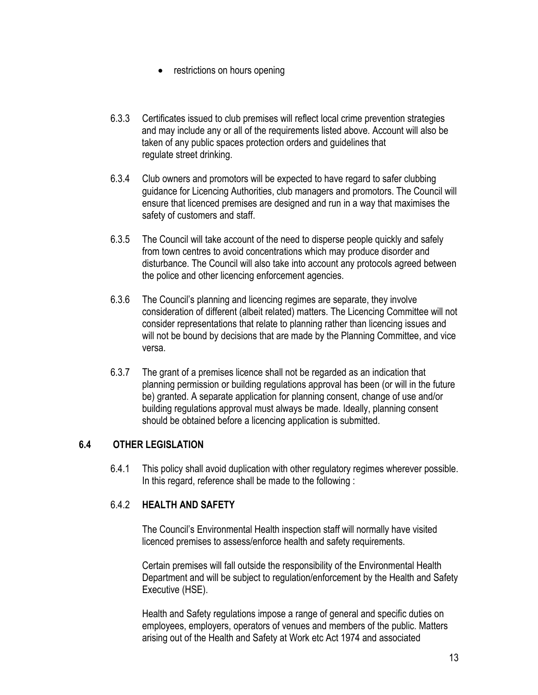- restrictions on hours opening
- 6.3.3 Certificates issued to club premises will reflect local crime prevention strategies and may include any or all of the requirements listed above. Account will also be taken of any public spaces protection orders and guidelines that regulate street drinking.
- 6.3.4 Club owners and promotors will be expected to have regard to safer clubbing guidance for Licencing Authorities, club managers and promotors. The Council will ensure that licenced premises are designed and run in a way that maximises the safety of customers and staff.
- 6.3.5 The Council will take account of the need to disperse people quickly and safely from town centres to avoid concentrations which may produce disorder and disturbance. The Council will also take into account any protocols agreed between the police and other licencing enforcement agencies.
- 6.3.6 The Council's planning and licencing regimes are separate, they involve consideration of different (albeit related) matters. The Licencing Committee will not consider representations that relate to planning rather than licencing issues and will not be bound by decisions that are made by the Planning Committee, and vice versa.
- 6.3.7 The grant of a premises licence shall not be regarded as an indication that planning permission or building regulations approval has been (or will in the future be) granted. A separate application for planning consent, change of use and/or building regulations approval must always be made. Ideally, planning consent should be obtained before a licencing application is submitted.

#### **6.4 OTHER LEGISLATION**

6.4.1 This policy shall avoid duplication with other regulatory regimes wherever possible. In this regard, reference shall be made to the following :

#### 6.4.2 **HEALTH AND SAFETY**

The Council's Environmental Health inspection staff will normally have visited licenced premises to assess/enforce health and safety requirements.

Certain premises will fall outside the responsibility of the Environmental Health Department and will be subject to regulation/enforcement by the Health and Safety Executive (HSE).

Health and Safety regulations impose a range of general and specific duties on employees, employers, operators of venues and members of the public. Matters arising out of the Health and Safety at Work etc Act 1974 and associated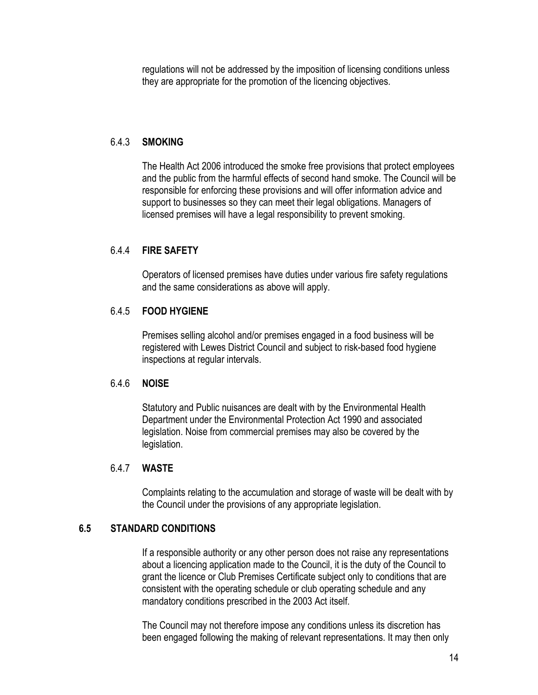regulations will not be addressed by the imposition of licensing conditions unless they are appropriate for the promotion of the licencing objectives.

#### 6.4.3 **SMOKING**

The Health Act 2006 introduced the smoke free provisions that protect employees and the public from the harmful effects of second hand smoke. The Council will be responsible for enforcing these provisions and will offer information advice and support to businesses so they can meet their legal obligations. Managers of licensed premises will have a legal responsibility to prevent smoking.

#### 6.4.4 **FIRE SAFETY**

Operators of licensed premises have duties under various fire safety regulations and the same considerations as above will apply.

#### 6.4.5 **FOOD HYGIENE**

Premises selling alcohol and/or premises engaged in a food business will be registered with Lewes District Council and subject to risk-based food hygiene inspections at regular intervals.

#### 6.4.6 **NOISE**

Statutory and Public nuisances are dealt with by the Environmental Health Department under the Environmental Protection Act 1990 and associated legislation. Noise from commercial premises may also be covered by the legislation.

#### 6.4.7 **WASTE**

Complaints relating to the accumulation and storage of waste will be dealt with by the Council under the provisions of any appropriate legislation.

#### **6.5 STANDARD CONDITIONS**

If a responsible authority or any other person does not raise any representations about a licencing application made to the Council, it is the duty of the Council to grant the licence or Club Premises Certificate subject only to conditions that are consistent with the operating schedule or club operating schedule and any mandatory conditions prescribed in the 2003 Act itself.

The Council may not therefore impose any conditions unless its discretion has been engaged following the making of relevant representations. It may then only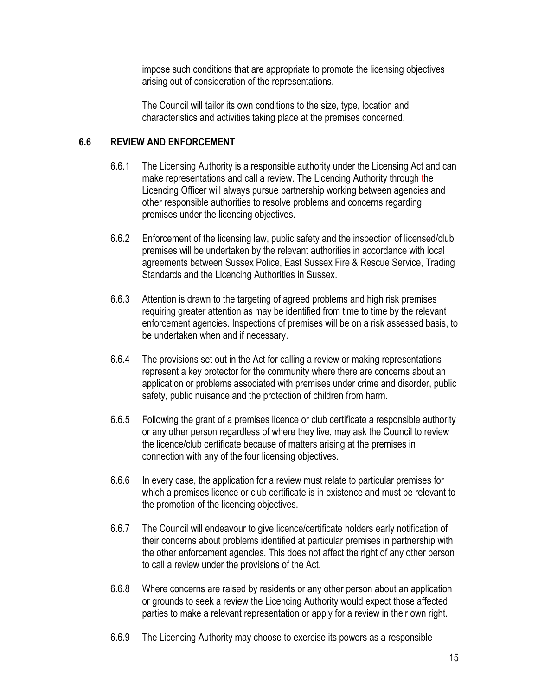impose such conditions that are appropriate to promote the licensing objectives arising out of consideration of the representations.

The Council will tailor its own conditions to the size, type, location and characteristics and activities taking place at the premises concerned.

#### **6.6 REVIEW AND ENFORCEMENT**

- 6.6.1 The Licensing Authority is a responsible authority under the Licensing Act and can make representations and call a review. The Licencing Authority through the Licencing Officer will always pursue partnership working between agencies and other responsible authorities to resolve problems and concerns regarding premises under the licencing objectives.
- 6.6.2 Enforcement of the licensing law, public safety and the inspection of licensed/club premises will be undertaken by the relevant authorities in accordance with local agreements between Sussex Police, East Sussex Fire & Rescue Service, Trading Standards and the Licencing Authorities in Sussex.
- 6.6.3 Attention is drawn to the targeting of agreed problems and high risk premises requiring greater attention as may be identified from time to time by the relevant enforcement agencies. Inspections of premises will be on a risk assessed basis, to be undertaken when and if necessary.
- 6.6.4 The provisions set out in the Act for calling a review or making representations represent a key protector for the community where there are concerns about an application or problems associated with premises under crime and disorder, public safety, public nuisance and the protection of children from harm.
- 6.6.5 Following the grant of a premises licence or club certificate a responsible authority or any other person regardless of where they live, may ask the Council to review the licence/club certificate because of matters arising at the premises in connection with any of the four licensing objectives.
- 6.6.6 In every case, the application for a review must relate to particular premises for which a premises licence or club certificate is in existence and must be relevant to the promotion of the licencing objectives.
- 6.6.7 The Council will endeavour to give licence/certificate holders early notification of their concerns about problems identified at particular premises in partnership with the other enforcement agencies. This does not affect the right of any other person to call a review under the provisions of the Act.
- 6.6.8 Where concerns are raised by residents or any other person about an application or grounds to seek a review the Licencing Authority would expect those affected parties to make a relevant representation or apply for a review in their own right.
- 6.6.9 The Licencing Authority may choose to exercise its powers as a responsible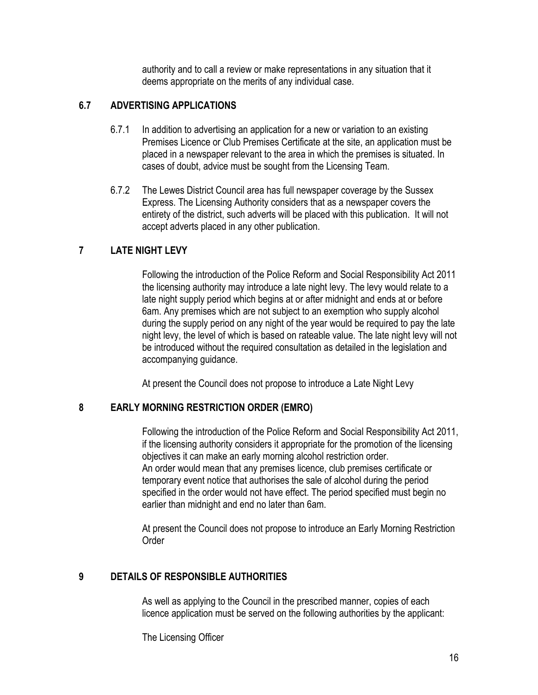authority and to call a review or make representations in any situation that it deems appropriate on the merits of any individual case.

#### **6.7 ADVERTISING APPLICATIONS**

- 6.7.1 In addition to advertising an application for a new or variation to an existing Premises Licence or Club Premises Certificate at the site, an application must be placed in a newspaper relevant to the area in which the premises is situated. In cases of doubt, advice must be sought from the Licensing Team.
- 6.7.2 The Lewes District Council area has full newspaper coverage by the Sussex Express. The Licensing Authority considers that as a newspaper covers the entirety of the district, such adverts will be placed with this publication. It will not accept adverts placed in any other publication.

#### **7 LATE NIGHT LEVY**

Following the introduction of the Police Reform and Social Responsibility Act 2011 the licensing authority may introduce a late night levy. The levy would relate to a late night supply period which begins at or after midnight and ends at or before 6am. Any premises which are not subject to an exemption who supply alcohol during the supply period on any night of the year would be required to pay the late night levy, the level of which is based on rateable value. The late night levy will not be introduced without the required consultation as detailed in the legislation and accompanying guidance.

At present the Council does not propose to introduce a Late Night Levy

#### **8 EARLY MORNING RESTRICTION ORDER (EMRO)**

Following the introduction of the Police Reform and Social Responsibility Act 2011, if the licensing authority considers it appropriate for the promotion of the licensing objectives it can make an early morning alcohol restriction order. An order would mean that any premises licence, club premises certificate or temporary event notice that authorises the sale of alcohol during the period specified in the order would not have effect. The period specified must begin no earlier than midnight and end no later than 6am.

At present the Council does not propose to introduce an Early Morning Restriction **Order** 

#### **9 DETAILS OF RESPONSIBLE AUTHORITIES**

As well as applying to the Council in the prescribed manner, copies of each licence application must be served on the following authorities by the applicant:

The Licensing Officer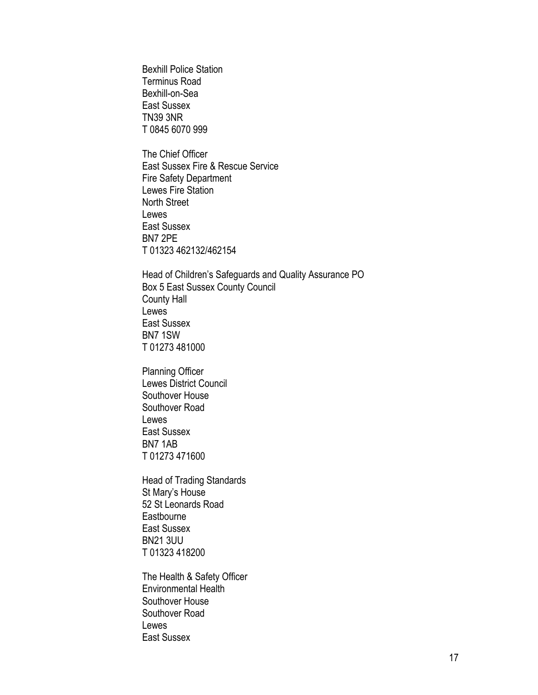Bexhill Police Station Terminus Road Bexhill-on-Sea East Sussex TN39 3NR T 0845 6070 999

The Chief Officer East Sussex Fire & Rescue Service Fire Safety Department Lewes Fire Station North Street Lewes East Sussex BN7 2PE T 01323 462132/462154

Head of Children's Safeguards and Quality Assurance PO Box 5 East Sussex County Council County Hall Lewes East Sussex BN7 1SW T 01273 481000

Planning Officer Lewes District Council Southover House Southover Road Lewes East Sussex BN7 1AB T 01273 471600

Head of Trading Standards St Mary's House 52 St Leonards Road **Eastbourne** East Sussex BN21 3UU T 01323 418200

The Health & Safety Officer Environmental Health Southover House Southover Road Lewes East Sussex